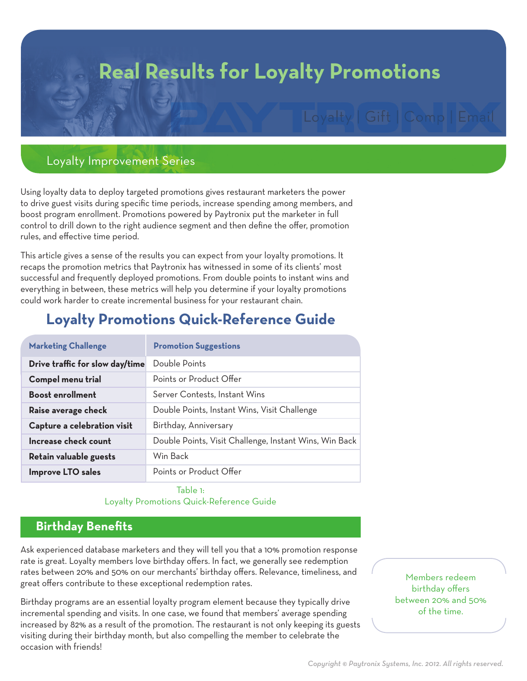# **Real Results for Loyalty Promotions**

# Loyalty Improvement Series

Using loyalty data to deploy targeted promotions gives restaurant marketers the power to drive guest visits during specific time periods, increase spending among members, and boost program enrollment. Promotions powered by Paytronix put the marketer in full control to drill down to the right audience segment and then define the offer, promotion rules, and effective time period.

This article gives a sense of the results you can expect from your loyalty promotions. It recaps the promotion metrics that Paytronix has witnessed in some of its clients' most successful and frequently deployed promotions. From double points to instant wins and everything in between, these metrics will help you determine if your loyalty promotions could work harder to create incremental business for your restaurant chain.

# **Loyalty Promotions Quick-Reference Guide**

| <b>Marketing Challenge</b>      | <b>Promotion Suggestions</b>                           |
|---------------------------------|--------------------------------------------------------|
| Drive traffic for slow day/time | Double Points                                          |
| Compel menu trial               | Points or Product Offer                                |
| <b>Boost enrollment</b>         | Server Contests, Instant Wins                          |
| Raise average check             | Double Points, Instant Wins, Visit Challenge           |
| Capture a celebration visit     | Birthday, Anniversary                                  |
| Increase check count            | Double Points, Visit Challenge, Instant Wins, Win Back |
| Retain valuable guests          | Win Back                                               |
| <b>Improve LTO sales</b>        | Points or Product Offer                                |

#### Table 1: Loyalty Promotions Quick-Reference Guide

# **Birthday Benefits**

Ask experienced database marketers and they will tell you that a 10% promotion response rate is great. Loyalty members love birthday offers. In fact, we generally see redemption rates between 20% and 50% on our merchants' birthday offers. Relevance, timeliness, and great offers contribute to these exceptional redemption rates.

Birthday programs are an essential loyalty program element because they typically drive incremental spending and visits. In one case, we found that members' average spending increased by 82% as a result of the promotion. The restaurant is not only keeping its guests visiting during their birthday month, but also compelling the member to celebrate the occasion with friends!

Members redeem birthday offers between 20% and 50% of the time.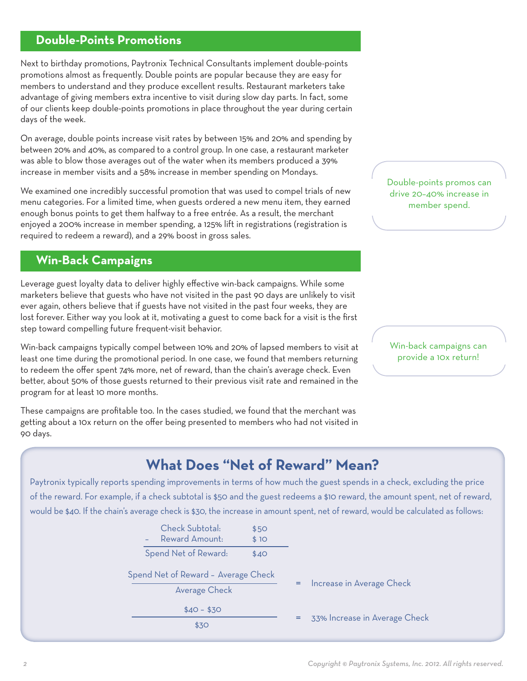# **Double-Points Promotions**

Next to birthday promotions, Paytronix Technical Consultants implement double-points promotions almost as frequently. Double points are popular because they are easy for members to understand and they produce excellent results. Restaurant marketers take advantage of giving members extra incentive to visit during slow day parts. In fact, some of our clients keep double-points promotions in place throughout the year during certain days of the week.

On average, double points increase visit rates by between 15% and 20% and spending by between 20% and 40%, as compared to a control group. In one case, a restaurant marketer was able to blow those averages out of the water when its members produced a 39% increase in member visits and a 58% increase in member spending on Mondays.

We examined one incredibly successful promotion that was used to compel trials of new menu categories. For a limited time, when guests ordered a new menu item, they earned enough bonus points to get them halfway to a free entrée. As a result, the merchant enjoyed a 200% increase in member spending, a 125% lift in registrations (registration is required to redeem a reward), and a 29% boost in gross sales.

# **Win-Back Campaigns**

Leverage guest loyalty data to deliver highly effective win-back campaigns. While some marketers believe that guests who have not visited in the past 90 days are unlikely to visit ever again, others believe that if guests have not visited in the past four weeks, they are lost forever. Either way you look at it, motivating a guest to come back for a visit is the first step toward compelling future frequent-visit behavior.

Win-back campaigns typically compel between 10% and 20% of lapsed members to visit at least one time during the promotional period. In one case, we found that members returning to redeem the offer spent 74% more, net of reward, than the chain's average check. Even better, about 50% of those guests returned to their previous visit rate and remained in the program for at least 10 more months.

These campaigns are profitable too. In the cases studied, we found that the merchant was getting about a 10x return on the offer being presented to members who had not visited in 90 days.

Double-points promos can drive 20–40% increase in member spend.

Win-back campaigns can provide a 10x return!

# **What Does "Net of Reward" Mean?**

Paytronix typically reports spending improvements in terms of how much the guest spends in a check, excluding the price of the reward. For example, if a check subtotal is \$50 and the guest redeems a \$10 reward, the amount spent, net of reward, would be \$40. If the chain's average check is \$30, the increase in amount spent, net of reward, would be calculated as follows:

|  | Check Subtotal:                                      | \$50 |     |                               |
|--|------------------------------------------------------|------|-----|-------------------------------|
|  | Reward Amount:<br>$\sim$                             | \$10 |     |                               |
|  | Spend Net of Reward:                                 | \$40 |     |                               |
|  | Spend Net of Reward - Average Check<br>Average Check |      | $=$ | Increase in Average Check     |
|  |                                                      |      |     |                               |
|  | $$40 - $30$<br>\$30                                  |      | =   | 33% Increase in Average Check |
|  |                                                      |      |     |                               |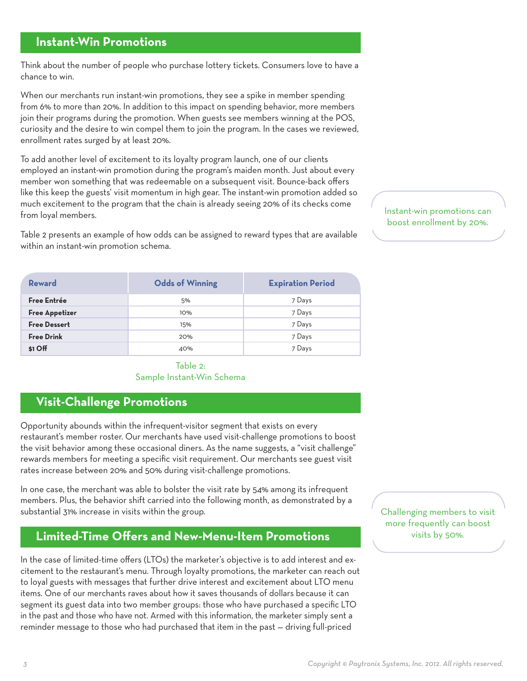## **Instant-Win Promotions**

Think about the number of people who purchase lottery tickets. Consumers love to have a chance to win.

When our merchants run instant-win promotions, they see a spike in member spending from 6% to more than 20%. In addition to this impact on spending behavior, more members join their programs during the promotion. When guests see members winning at the POS, curiosity and the desire to win compel them to join the program. In the cases we reviewed, enrollment rates surged by at least 20%.

To add another level of excitement to its loyalty program launch, one of our clients employed an instant-win promotion during the program's maiden month. Just about every member won something that was redeemable on a subsequent visit. Bounce-back offers like this keep the guests' visit momentum in high gear. The instant-win promotion added so much excitement to the program that the chain is already seeing 20% of its checks come from loyal members.

Table 2 presents an example of how odds can be assigned to reward types that are available within an instant-win promotion schema.

| Reward                | <b>Odds of Winning</b> | <b>Expiration Period</b> |
|-----------------------|------------------------|--------------------------|
| Free Entrée           | 5%                     | 7 Days                   |
| <b>Free Appetizer</b> | 10%                    | 7 Days                   |
| <b>Free Dessert</b>   | 15%                    | 7 Days                   |
| <b>Free Drink</b>     | 20%                    | 7 Days                   |
| \$1 Off               | 40%                    | 7 Days                   |

#### Table 2: Sample Instant-Win Schema

## **Visit-Challenge Promotions**

Opportunity abounds within the infrequent-visitor segment that exists on every restaurant's member roster. Our merchants have used visit-challenge promotions to boost the visit behavior among these occasional diners. As the name suggests, a "visit challenge" rewards members for meeting a specific visit requirement. Our merchants see guest visit rates increase between 20% and 50% during visit-challenge promotions.

In one case, the merchant was able to bolster the visit rate by 54% among its infrequent members. Plus, the behavior shift carried into the following month, as demonstrated by a substantial 31% increase in visits within the group.

## **Limited-Time Offers and New-Menu-Item Promotions**

In the case of limited-time offers (LTOs) the marketer's objective is to add interest and excitement to the restaurant's menu. Through loyalty promotions, the marketer can reach out to loyal guests with messages that further drive interest and excitement about LTO menu items. One of our merchants raves about how it saves thousands of dollars because it can segment its guest data into two member groups: those who have purchased a specific LTO in the past and those who have not. Armed with this information, the marketer simply sent a reminder message to those who had purchased that item in the past — driving full-priced

Challenging members to visit more frequently can boost visits by 50%.

Instant-win promotions can boost enrollment by 20%.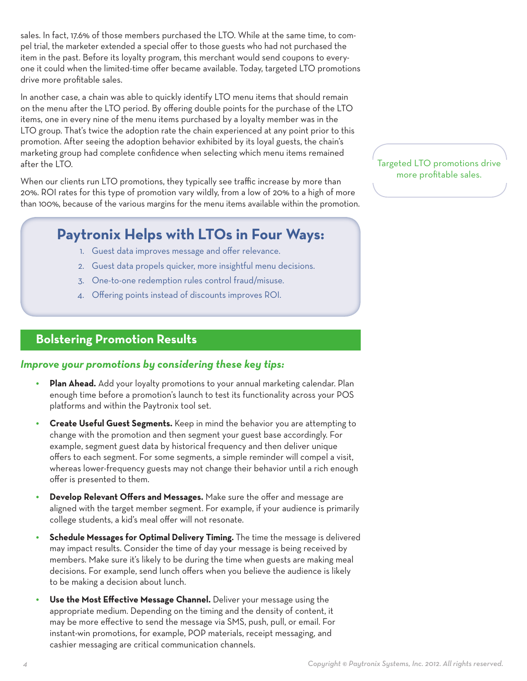sales. In fact, 17.6% of those members purchased the LTO. While at the same time, to compel trial, the marketer extended a special offer to those guests who had not purchased the item in the past. Before its loyalty program, this merchant would send coupons to everyone it could when the limited-time offer became available. Today, targeted LTO promotions drive more profitable sales.

In another case, a chain was able to quickly identify LTO menu items that should remain on the menu after the LTO period. By offering double points for the purchase of the LTO items, one in every nine of the menu items purchased by a loyalty member was in the LTO group. That's twice the adoption rate the chain experienced at any point prior to this promotion. After seeing the adoption behavior exhibited by its loyal guests, the chain's marketing group had complete confidence when selecting which menu items remained after the LTO.

When our clients run LTO promotions, they typically see traffic increase by more than 20%. ROI rates for this type of promotion vary wildly, from a low of 20% to a high of more than 100%, because of the various margins for the menu items available within the promotion.

# **Paytronix Helps with LTOs in Four Ways:**

- 1. Guest data improves message and offer relevance.
- 2. Guest data propels quicker, more insightful menu decisions.
- 3. One-to-one redemption rules control fraud/misuse.
- 4. Offering points instead of discounts improves ROI.

# **Bolstering Promotion Results**

#### *Improve your promotions by considering these key tips:*

- *•* **Plan Ahead.** Add your loyalty promotions to your annual marketing calendar. Plan enough time before a promotion's launch to test its functionality across your POS platforms and within the Paytronix tool set.
- *•* **Create Useful Guest Segments.** Keep in mind the behavior you are attempting to change with the promotion and then segment your guest base accordingly. For example, segment guest data by historical frequency and then deliver unique offers to each segment. For some segments, a simple reminder will compel a visit, whereas lower-frequency guests may not change their behavior until a rich enough offer is presented to them.
- *•* **Develop Relevant Offers and Messages.** Make sure the offer and message are aligned with the target member segment. For example, if your audience is primarily college students, a kid's meal offer will not resonate.
- *•* **Schedule Messages for Optimal Delivery Timing.** The time the message is delivered may impact results. Consider the time of day your message is being received by members. Make sure it's likely to be during the time when guests are making meal decisions. For example, send lunch offers when you believe the audience is likely to be making a decision about lunch.
- *•* **Use the Most Effective Message Channel.** Deliver your message using the appropriate medium. Depending on the timing and the density of content, it may be more effective to send the message via SMS, push, pull, or email. For instant-win promotions, for example, POP materials, receipt messaging, and cashier messaging are critical communication channels.

#### Targeted LTO promotions drive more profitable sales.